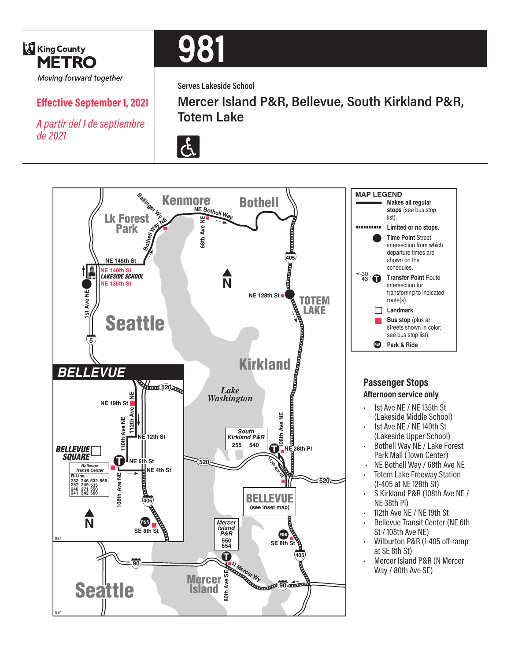

# **Effective September 1, 2021**

*A partir del 1 de septiembre de 2021*



**Serves Lakeside School**



**Mercer Island P&R, Bellevue, South Kirkland P&R, Totem Lake**